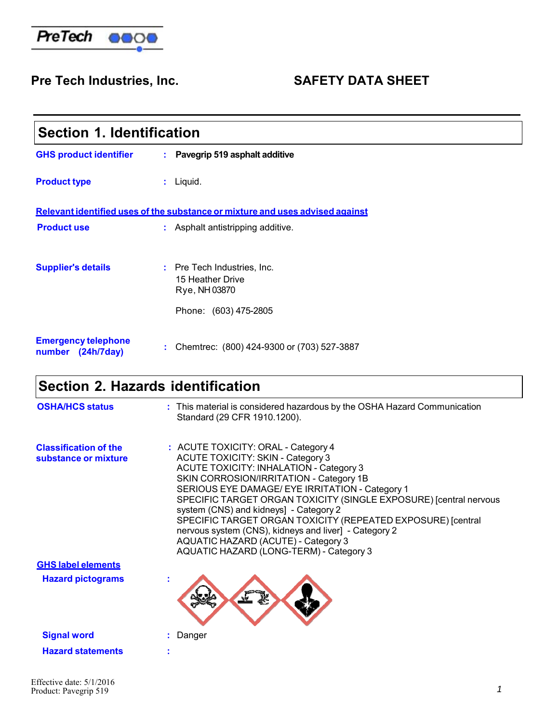

## Pre Tech Industries, Inc. SAFETY DATA SHEET

| <b>Section 1. Identification</b>                                              |                                                                                           |  |  |
|-------------------------------------------------------------------------------|-------------------------------------------------------------------------------------------|--|--|
| <b>GHS product identifier</b>                                                 | : Pavegrip 519 asphalt additive                                                           |  |  |
| <b>Product type</b>                                                           | $:$ Liquid.                                                                               |  |  |
| Relevant identified uses of the substance or mixture and uses advised against |                                                                                           |  |  |
| <b>Product use</b>                                                            | : Asphalt antistripping additive.                                                         |  |  |
| <b>Supplier's details</b>                                                     | : Pre Tech Industries, Inc.<br>15 Heather Drive<br>Rye, NH 03870<br>Phone: (603) 475-2805 |  |  |
| <b>Emergency telephone</b><br>number<br>(24h/7day)                            | Chemtrec: (800) 424-9300 or (703) 527-3887<br>t.                                          |  |  |

### **Section 2. Hazards identification**

| <b>OSHA/HCS status</b>                               | : This material is considered hazardous by the OSHA Hazard Communication<br>Standard (29 CFR 1910.1200).                                                                                                                                                                                                                                                                                                                                                                                                                                                 |
|------------------------------------------------------|----------------------------------------------------------------------------------------------------------------------------------------------------------------------------------------------------------------------------------------------------------------------------------------------------------------------------------------------------------------------------------------------------------------------------------------------------------------------------------------------------------------------------------------------------------|
| <b>Classification of the</b><br>substance or mixture | : ACUTE TOXICITY: ORAL - Category 4<br><b>ACUTE TOXICITY: SKIN - Category 3</b><br><b>ACUTE TOXICITY: INHALATION - Category 3</b><br>SKIN CORROSION/IRRITATION - Category 1B<br>SERIOUS EYE DAMAGE/ EYE IRRITATION - Category 1<br>SPECIFIC TARGET ORGAN TOXICITY (SINGLE EXPOSURE) [central nervous<br>system (CNS) and kidneys] - Category 2<br>SPECIFIC TARGET ORGAN TOXICITY (REPEATED EXPOSURE) [central<br>nervous system (CNS), kidneys and liver] - Category 2<br>AQUATIC HAZARD (ACUTE) - Category 3<br>AQUATIC HAZARD (LONG-TERM) - Category 3 |
| <b>GHS label elements</b>                            |                                                                                                                                                                                                                                                                                                                                                                                                                                                                                                                                                          |
| <b>Hazard pictograms</b>                             |                                                                                                                                                                                                                                                                                                                                                                                                                                                                                                                                                          |
| <b>Signal word</b>                                   | : Danger                                                                                                                                                                                                                                                                                                                                                                                                                                                                                                                                                 |
| <b>Hazard statements</b>                             | t                                                                                                                                                                                                                                                                                                                                                                                                                                                                                                                                                        |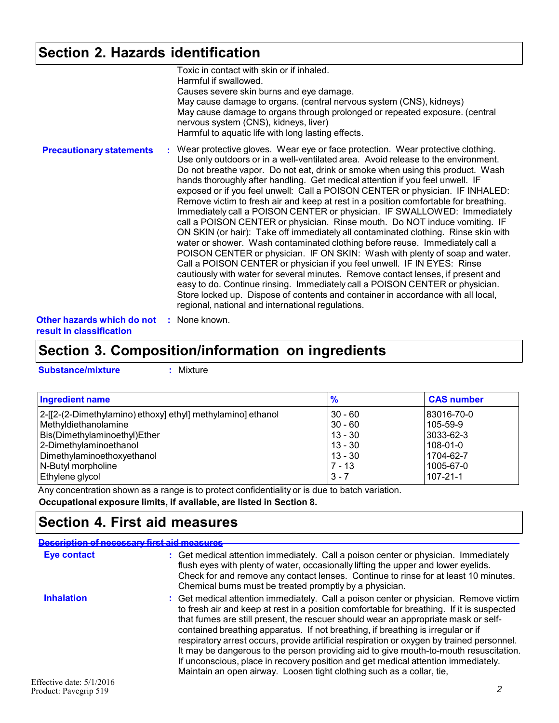## **Section 2. Hazards identification**

|                                 | Toxic in contact with skin or if inhaled.<br>Harmful if swallowed.<br>Causes severe skin burns and eye damage.<br>May cause damage to organs. (central nervous system (CNS), kidneys)<br>May cause damage to organs through prolonged or repeated exposure. (central<br>nervous system (CNS), kidneys, liver)<br>Harmful to aquatic life with long lasting effects.                                                                                                                                                                                                                                                                                                                                                                                                                                                                                                                                                                                                                                                                                                                                                                                                                                                                                                                                                      |
|---------------------------------|--------------------------------------------------------------------------------------------------------------------------------------------------------------------------------------------------------------------------------------------------------------------------------------------------------------------------------------------------------------------------------------------------------------------------------------------------------------------------------------------------------------------------------------------------------------------------------------------------------------------------------------------------------------------------------------------------------------------------------------------------------------------------------------------------------------------------------------------------------------------------------------------------------------------------------------------------------------------------------------------------------------------------------------------------------------------------------------------------------------------------------------------------------------------------------------------------------------------------------------------------------------------------------------------------------------------------|
| <b>Precautionary statements</b> | : Wear protective gloves. Wear eye or face protection. Wear protective clothing.<br>Use only outdoors or in a well-ventilated area. Avoid release to the environment.<br>Do not breathe vapor. Do not eat, drink or smoke when using this product. Wash<br>hands thoroughly after handling. Get medical attention if you feel unwell. IF<br>exposed or if you feel unwell: Call a POISON CENTER or physician. IF INHALED:<br>Remove victim to fresh air and keep at rest in a position comfortable for breathing.<br>Immediately call a POISON CENTER or physician. IF SWALLOWED: Immediately<br>call a POISON CENTER or physician. Rinse mouth. Do NOT induce vomiting. IF<br>ON SKIN (or hair): Take off immediately all contaminated clothing. Rinse skin with<br>water or shower. Wash contaminated clothing before reuse. Immediately call a<br>POISON CENTER or physician. IF ON SKIN: Wash with plenty of soap and water.<br>Call a POISON CENTER or physician if you feel unwell. IF IN EYES: Rinse<br>cautiously with water for several minutes. Remove contact lenses, if present and<br>easy to do. Continue rinsing. Immediately call a POISON CENTER or physician.<br>Store locked up. Dispose of contents and container in accordance with all local,<br>regional, national and international regulations. |
| Other hazards which do not      | : None known.                                                                                                                                                                                                                                                                                                                                                                                                                                                                                                                                                                                                                                                                                                                                                                                                                                                                                                                                                                                                                                                                                                                                                                                                                                                                                                            |

**result in classification**

### **Section 3. Composition/information on ingredients**

| <b>Substance/mixture</b> |  |
|--------------------------|--|
|--------------------------|--|

**Substance/mixture :** Mixture

| <b>Ingredient name</b>                                       | %         | <b>CAS number</b> |
|--------------------------------------------------------------|-----------|-------------------|
| [2-[[2-(2-Dimethylamino) ethoxy] ethyl] methylamino] ethanol | $30 - 60$ | 183016-70-0       |
| Methyldiethanolamine                                         | $30 - 60$ | 105-59-9          |
| Bis(Dimethylaminoethyl)Ether                                 | $13 - 30$ | l3033-62-3        |
| 2-Dimethylaminoethanol                                       | $13 - 30$ | $108 - 01 - 0$    |
| Dimethylaminoethoxyethanol                                   | $13 - 30$ | 1704-62-7         |
| N-Butyl morpholine                                           | 7 - 13    | 1005-67-0         |
| Ethylene glycol                                              | $3 - 7$   | 107-21-1          |

Any concentration shown as a range is to protect confidentiality or is due to batch variation. **Occupational exposure limits, if available, are listed in Section 8.**

### **Section 4. First aid measures**

| Description of necessary first aid measures |                                                                                                                                                                                                                                                                                                                                                                                                                                                                                                                                                                                                                                                                                                                  |
|---------------------------------------------|------------------------------------------------------------------------------------------------------------------------------------------------------------------------------------------------------------------------------------------------------------------------------------------------------------------------------------------------------------------------------------------------------------------------------------------------------------------------------------------------------------------------------------------------------------------------------------------------------------------------------------------------------------------------------------------------------------------|
| <b>Eye contact</b>                          | : Get medical attention immediately. Call a poison center or physician. Immediately<br>flush eyes with plenty of water, occasionally lifting the upper and lower eyelids.<br>Check for and remove any contact lenses. Continue to rinse for at least 10 minutes.<br>Chemical burns must be treated promptly by a physician.                                                                                                                                                                                                                                                                                                                                                                                      |
| <b>Inhalation</b>                           | : Get medical attention immediately. Call a poison center or physician. Remove victim<br>to fresh air and keep at rest in a position comfortable for breathing. If it is suspected<br>that fumes are still present, the rescuer should wear an appropriate mask or self-<br>contained breathing apparatus. If not breathing, if breathing is irregular or if<br>respiratory arrest occurs, provide artificial respiration or oxygen by trained personnel.<br>It may be dangerous to the person providing aid to give mouth-to-mouth resuscitation.<br>If unconscious, place in recovery position and get medical attention immediately.<br>Maintain an open airway. Loosen tight clothing such as a collar, tie, |
| Effective date: 5/1/2016                    |                                                                                                                                                                                                                                                                                                                                                                                                                                                                                                                                                                                                                                                                                                                  |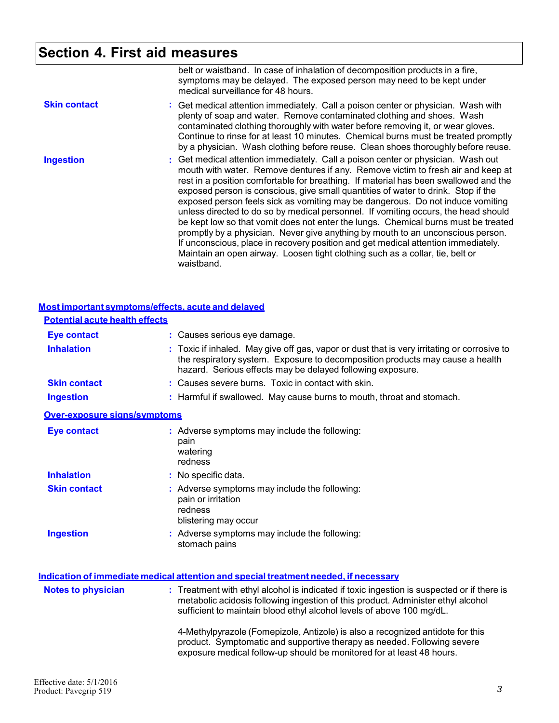### **Section 4. First aid measures**

|                     | belt or waistband. In case of inhalation of decomposition products in a fire,<br>symptoms may be delayed. The exposed person may need to be kept under<br>medical surveillance for 48 hours.                                                                                                                                                                                                                                                                                                                                                                                                                                                                                                                                                                                                                                                                                           |
|---------------------|----------------------------------------------------------------------------------------------------------------------------------------------------------------------------------------------------------------------------------------------------------------------------------------------------------------------------------------------------------------------------------------------------------------------------------------------------------------------------------------------------------------------------------------------------------------------------------------------------------------------------------------------------------------------------------------------------------------------------------------------------------------------------------------------------------------------------------------------------------------------------------------|
| <b>Skin contact</b> | : Get medical attention immediately. Call a poison center or physician. Wash with<br>plenty of soap and water. Remove contaminated clothing and shoes. Wash<br>contaminated clothing thoroughly with water before removing it, or wear gloves.<br>Continue to rinse for at least 10 minutes. Chemical burns must be treated promptly<br>by a physician. Wash clothing before reuse. Clean shoes thoroughly before reuse.                                                                                                                                                                                                                                                                                                                                                                                                                                                               |
| <b>Ingestion</b>    | : Get medical attention immediately. Call a poison center or physician. Wash out<br>mouth with water. Remove dentures if any. Remove victim to fresh air and keep at<br>rest in a position comfortable for breathing. If material has been swallowed and the<br>exposed person is conscious, give small quantities of water to drink. Stop if the<br>exposed person feels sick as vomiting may be dangerous. Do not induce vomiting<br>unless directed to do so by medical personnel. If vomiting occurs, the head should<br>be kept low so that vomit does not enter the lungs. Chemical burns must be treated<br>promptly by a physician. Never give anything by mouth to an unconscious person.<br>If unconscious, place in recovery position and get medical attention immediately.<br>Maintain an open airway. Loosen tight clothing such as a collar, tie, belt or<br>waistband. |

|                                       | Most important symptoms/effects, acute and delayed                                                                                                                                                                                                      |
|---------------------------------------|---------------------------------------------------------------------------------------------------------------------------------------------------------------------------------------------------------------------------------------------------------|
| <b>Potential acute health effects</b> |                                                                                                                                                                                                                                                         |
| <b>Eye contact</b>                    | : Causes serious eye damage.                                                                                                                                                                                                                            |
| <b>Inhalation</b>                     | : Toxic if inhaled. May give off gas, vapor or dust that is very irritating or corrosive to<br>the respiratory system. Exposure to decomposition products may cause a health<br>hazard. Serious effects may be delayed following exposure.              |
| <b>Skin contact</b>                   | : Causes severe burns. Toxic in contact with skin.                                                                                                                                                                                                      |
| <b>Ingestion</b>                      | : Harmful if swallowed. May cause burns to mouth, throat and stomach.                                                                                                                                                                                   |
| Over-exposure signs/symptoms          |                                                                                                                                                                                                                                                         |
| <b>Eye contact</b>                    | : Adverse symptoms may include the following:<br>pain<br>watering<br>redness                                                                                                                                                                            |
| <b>Inhalation</b>                     | : No specific data.                                                                                                                                                                                                                                     |
| <b>Skin contact</b>                   | : Adverse symptoms may include the following:<br>pain or irritation<br>redness<br>blistering may occur                                                                                                                                                  |
| <b>Ingestion</b>                      | : Adverse symptoms may include the following:<br>stomach pains                                                                                                                                                                                          |
|                                       | <u>Indication of immediate medical attention and special treatment needed, if necessary</u>                                                                                                                                                             |
| <b>Notes to physician</b>             | : Treatment with ethyl alcohol is indicated if toxic ingestion is suspected or if there is<br>metabolic acidosis following ingestion of this product. Administer ethyl alcohol<br>sufficient to maintain blood ethyl alcohol levels of above 100 mg/dL. |
|                                       | 4-Methylpyrazole (Fomepizole, Antizole) is also a recognized antidote for this<br>product. Symptomatic and supportive therapy as needed. Following severe<br>exposure medical follow-up should be monitored for at least 48 hours.                      |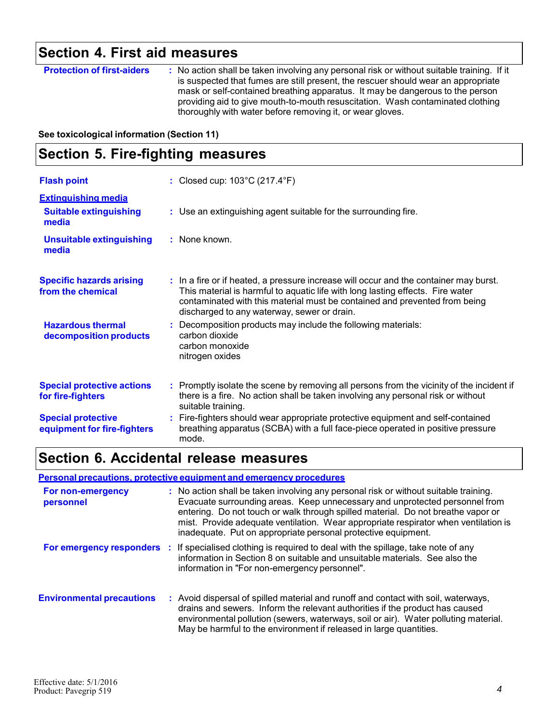# **Section 4. First aid measures**

| <b>Protection of first-aiders</b> | : No action shall be taken involving any personal risk or without suitable training. If it<br>is suspected that fumes are still present, the rescuer should wear an appropriate<br>mask or self-contained breathing apparatus. It may be dangerous to the person |
|-----------------------------------|------------------------------------------------------------------------------------------------------------------------------------------------------------------------------------------------------------------------------------------------------------------|
|                                   | providing aid to give mouth-to-mouth resuscitation. Wash contaminated clothing                                                                                                                                                                                   |
|                                   | thoroughly with water before removing it, or wear gloves.                                                                                                                                                                                                        |

**See toxicological information (Section 11)**

### **Section 5. Fire-fighting measures**

| <b>Flash point</b>                                                   | : Closed cup: $103^{\circ}$ C (217.4 $^{\circ}$ F)                                                                                                                                                                                                                                                   |
|----------------------------------------------------------------------|------------------------------------------------------------------------------------------------------------------------------------------------------------------------------------------------------------------------------------------------------------------------------------------------------|
| <b>Extinguishing media</b><br><b>Suitable extinguishing</b><br>media | : Use an extinguishing agent suitable for the surrounding fire.                                                                                                                                                                                                                                      |
| <b>Unsuitable extinguishing</b><br>media                             | : None known.                                                                                                                                                                                                                                                                                        |
| <b>Specific hazards arising</b><br>from the chemical                 | : In a fire or if heated, a pressure increase will occur and the container may burst.<br>This material is harmful to aquatic life with long lasting effects. Fire water<br>contaminated with this material must be contained and prevented from being<br>discharged to any waterway, sewer or drain. |
| <b>Hazardous thermal</b><br>decomposition products                   | : Decomposition products may include the following materials:<br>carbon dioxide<br>carbon monoxide<br>nitrogen oxides                                                                                                                                                                                |
| <b>Special protective actions</b><br>for fire-fighters               | : Promptly isolate the scene by removing all persons from the vicinity of the incident if<br>there is a fire. No action shall be taken involving any personal risk or without<br>suitable training.                                                                                                  |
| <b>Special protective</b><br>equipment for fire-fighters             | : Fire-fighters should wear appropriate protective equipment and self-contained<br>breathing apparatus (SCBA) with a full face-piece operated in positive pressure<br>mode.                                                                                                                          |

### **Section 6. Accidental release measures**

#### **Personal precautions, protective equipment and emergency procedures**

| For non-emergency<br>personnel   | : No action shall be taken involving any personal risk or without suitable training.<br>Evacuate surrounding areas. Keep unnecessary and unprotected personnel from<br>entering. Do not touch or walk through spilled material. Do not breathe vapor or<br>mist. Provide adequate ventilation. Wear appropriate respirator when ventilation is<br>inadequate. Put on appropriate personal protective equipment. |
|----------------------------------|-----------------------------------------------------------------------------------------------------------------------------------------------------------------------------------------------------------------------------------------------------------------------------------------------------------------------------------------------------------------------------------------------------------------|
| For emergency responders :       | If specialised clothing is required to deal with the spillage, take note of any<br>information in Section 8 on suitable and unsuitable materials. See also the<br>information in "For non-emergency personnel".                                                                                                                                                                                                 |
| <b>Environmental precautions</b> | : Avoid dispersal of spilled material and runoff and contact with soil, waterways,<br>drains and sewers. Inform the relevant authorities if the product has caused<br>environmental pollution (sewers, waterways, soil or air). Water polluting material.<br>May be harmful to the environment if released in large quantities.                                                                                 |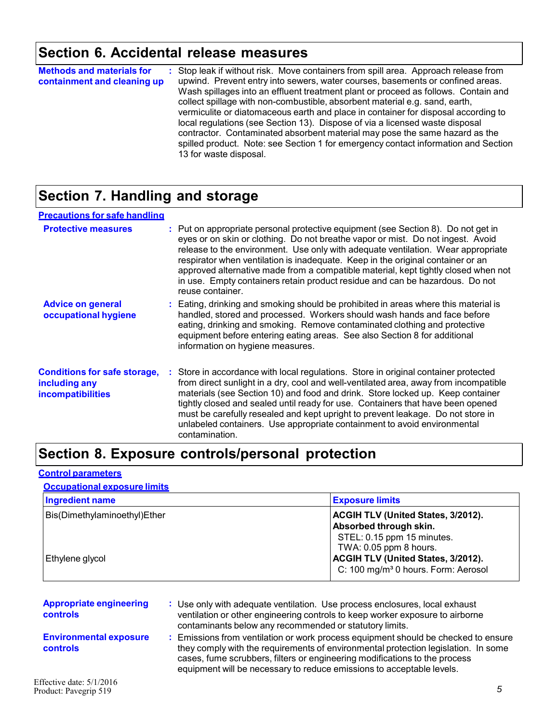### **Section 6. Accidental release measures**

| <b>Methods and materials for</b><br>containment and cleaning up |  | : Stop leak if without risk. Move containers from spill area. Approach release from<br>upwind. Prevent entry into sewers, water courses, basements or confined areas.<br>Wash spillages into an effluent treatment plant or proceed as follows. Contain and<br>collect spillage with non-combustible, absorbent material e.g. sand, earth,<br>vermiculite or diatomaceous earth and place in container for disposal according to<br>local regulations (see Section 13). Dispose of via a licensed waste disposal<br>contractor. Contaminated absorbent material may pose the same hazard as the<br>spilled product. Note: see Section 1 for emergency contact information and Section<br>13 for waste disposal. |
|-----------------------------------------------------------------|--|-----------------------------------------------------------------------------------------------------------------------------------------------------------------------------------------------------------------------------------------------------------------------------------------------------------------------------------------------------------------------------------------------------------------------------------------------------------------------------------------------------------------------------------------------------------------------------------------------------------------------------------------------------------------------------------------------------------------|
|-----------------------------------------------------------------|--|-----------------------------------------------------------------------------------------------------------------------------------------------------------------------------------------------------------------------------------------------------------------------------------------------------------------------------------------------------------------------------------------------------------------------------------------------------------------------------------------------------------------------------------------------------------------------------------------------------------------------------------------------------------------------------------------------------------------|

### **Section 7. Handling and storage**

| <b>Precautions for safe handling</b>                                             |                                                                                                                                                                                                                                                                                                                                                                                                                                                                                                                                       |
|----------------------------------------------------------------------------------|---------------------------------------------------------------------------------------------------------------------------------------------------------------------------------------------------------------------------------------------------------------------------------------------------------------------------------------------------------------------------------------------------------------------------------------------------------------------------------------------------------------------------------------|
| <b>Protective measures</b>                                                       | : Put on appropriate personal protective equipment (see Section 8). Do not get in<br>eyes or on skin or clothing. Do not breathe vapor or mist. Do not ingest. Avoid<br>release to the environment. Use only with adequate ventilation. Wear appropriate<br>respirator when ventilation is inadequate. Keep in the original container or an<br>approved alternative made from a compatible material, kept tightly closed when not<br>in use. Empty containers retain product residue and can be hazardous. Do not<br>reuse container. |
| <b>Advice on general</b><br>occupational hygiene                                 | : Eating, drinking and smoking should be prohibited in areas where this material is<br>handled, stored and processed. Workers should wash hands and face before<br>eating, drinking and smoking. Remove contaminated clothing and protective<br>equipment before entering eating areas. See also Section 8 for additional<br>information on hygiene measures.                                                                                                                                                                         |
| <b>Conditions for safe storage,</b><br>including any<br><b>incompatibilities</b> | : Store in accordance with local regulations. Store in original container protected<br>from direct sunlight in a dry, cool and well-ventilated area, away from incompatible<br>materials (see Section 10) and food and drink. Store locked up. Keep container<br>tightly closed and sealed until ready for use. Containers that have been opened<br>must be carefully resealed and kept upright to prevent leakage. Do not store in<br>unlabeled containers. Use appropriate containment to avoid environmental<br>contamination.     |

### **Section 8. Exposure controls/personal protection**

#### **Control parameters**

#### **Occupational exposure limits**

| <b>Ingredient name</b>       | <b>Exposure limits</b>                                                                                                                               |
|------------------------------|------------------------------------------------------------------------------------------------------------------------------------------------------|
| Bis(Dimethylaminoethyl)Ether | <b>ACGIH TLV (United States, 3/2012).</b><br>Absorbed through skin.                                                                                  |
| Ethylene glycol              | STEL: 0.15 ppm 15 minutes.<br>TWA: 0.05 ppm 8 hours.<br><b>ACGIH TLV (United States, 3/2012).</b><br>C: 100 mg/m <sup>3</sup> 0 hours. Form: Aerosol |

| <b>Appropriate engineering</b><br><b>controls</b> | : Use only with adequate ventilation. Use process enclosures, local exhaust<br>ventilation or other engineering controls to keep worker exposure to airborne<br>contaminants below any recommended or statutory limits.                                                                                                       |
|---------------------------------------------------|-------------------------------------------------------------------------------------------------------------------------------------------------------------------------------------------------------------------------------------------------------------------------------------------------------------------------------|
| <b>Environmental exposure</b><br><b>controls</b>  | Emissions from ventilation or work process equipment should be checked to ensure<br>they comply with the requirements of environmental protection legislation. In some<br>cases, fume scrubbers, filters or engineering modifications to the process<br>equipment will be necessary to reduce emissions to acceptable levels. |
| ffective date: $5/1/2016$                         |                                                                                                                                                                                                                                                                                                                               |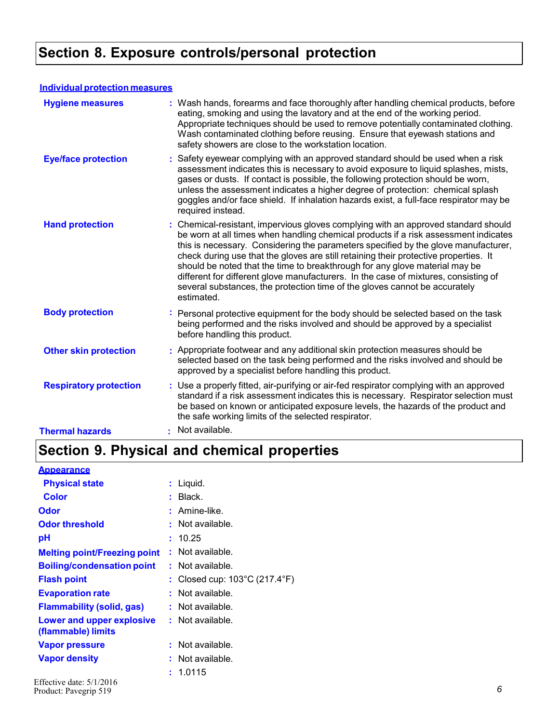### **Section 8. Exposure controls/personal protection**

#### **Individual protection measures**

| <b>Hygiene measures</b>       | : Wash hands, forearms and face thoroughly after handling chemical products, before<br>eating, smoking and using the lavatory and at the end of the working period.<br>Appropriate techniques should be used to remove potentially contaminated clothing.<br>Wash contaminated clothing before reusing. Ensure that eyewash stations and<br>safety showers are close to the workstation location.                                                                                                                                                                                                                         |
|-------------------------------|---------------------------------------------------------------------------------------------------------------------------------------------------------------------------------------------------------------------------------------------------------------------------------------------------------------------------------------------------------------------------------------------------------------------------------------------------------------------------------------------------------------------------------------------------------------------------------------------------------------------------|
| <b>Eye/face protection</b>    | Safety eyewear complying with an approved standard should be used when a risk<br>assessment indicates this is necessary to avoid exposure to liquid splashes, mists,<br>gases or dusts. If contact is possible, the following protection should be worn,<br>unless the assessment indicates a higher degree of protection: chemical splash<br>goggles and/or face shield. If inhalation hazards exist, a full-face respirator may be<br>required instead.                                                                                                                                                                 |
| <b>Hand protection</b>        | : Chemical-resistant, impervious gloves complying with an approved standard should<br>be worn at all times when handling chemical products if a risk assessment indicates<br>this is necessary. Considering the parameters specified by the glove manufacturer,<br>check during use that the gloves are still retaining their protective properties. It<br>should be noted that the time to breakthrough for any glove material may be<br>different for different glove manufacturers. In the case of mixtures, consisting of<br>several substances, the protection time of the gloves cannot be accurately<br>estimated. |
| <b>Body protection</b>        | Personal protective equipment for the body should be selected based on the task<br>being performed and the risks involved and should be approved by a specialist<br>before handling this product.                                                                                                                                                                                                                                                                                                                                                                                                                         |
| <b>Other skin protection</b>  | : Appropriate footwear and any additional skin protection measures should be<br>selected based on the task being performed and the risks involved and should be<br>approved by a specialist before handling this product.                                                                                                                                                                                                                                                                                                                                                                                                 |
| <b>Respiratory protection</b> | : Use a properly fitted, air-purifying or air-fed respirator complying with an approved<br>standard if a risk assessment indicates this is necessary. Respirator selection must<br>be based on known or anticipated exposure levels, the hazards of the product and<br>the safe working limits of the selected respirator.                                                                                                                                                                                                                                                                                                |
| <b>Thermal hazards</b>        | : Not available.                                                                                                                                                                                                                                                                                                                                                                                                                                                                                                                                                                                                          |

## **Section 9. Physical and chemical properties**

#### **Appearance**

| <b>Physical state</b>                           | Liquid.                                          |
|-------------------------------------------------|--------------------------------------------------|
| Color                                           | Black.                                           |
| Odor                                            | Amine-like                                       |
| <b>Odor threshold</b>                           | Not available.                                   |
| рH                                              | - 10.25                                          |
| <b>Melting point/Freezing point</b>             | Not available.                                   |
| <b>Boiling/condensation point</b>               | : Not available.                                 |
| <b>Flash point</b>                              | Closed cup: $103^{\circ}$ C (217.4 $^{\circ}$ F) |
| <b>Evaporation rate</b>                         | Not available.                                   |
| <b>Flammability (solid, gas)</b>                | : Not available.                                 |
| Lower and upper explosive<br>(flammable) limits | : Not available.                                 |
| <b>Vapor pressure</b>                           | Not available.                                   |
| <b>Vapor density</b>                            | Not available.                                   |
|                                                 | : 1.0115                                         |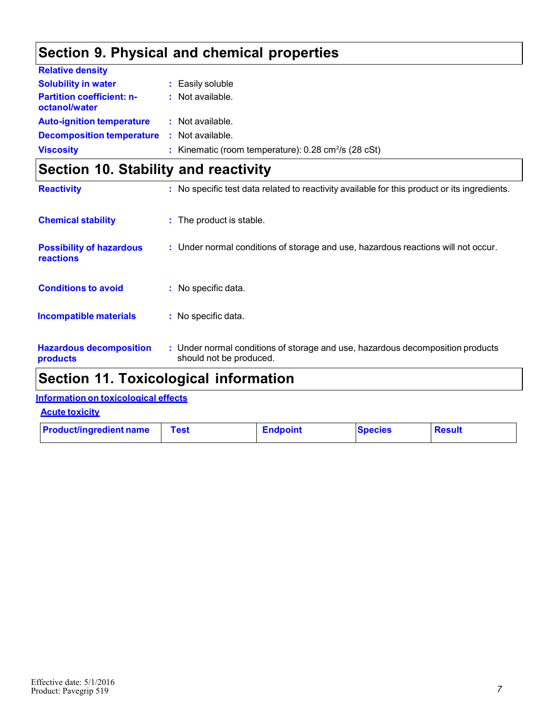### **Section 9. Physical and chemical properties**

| <b>Relative density</b>                           |                                                                       |
|---------------------------------------------------|-----------------------------------------------------------------------|
| <b>Solubility in water</b>                        | : Easily soluble                                                      |
| <b>Partition coefficient: n-</b><br>octanol/water | $:$ Not available.                                                    |
| <b>Auto-ignition temperature</b>                  | : Not available.                                                      |
| <b>Decomposition temperature</b>                  | : Not available.                                                      |
| <b>Viscosity</b>                                  | : Kinematic (room temperature): $0.28 \text{ cm}^2/\text{s}$ (28 cSt) |

### **Section 10. Stability and reactivity**

| <b>Reactivity</b>                            | : No specific test data related to reactivity available for this product or its ingredients.              |  |
|----------------------------------------------|-----------------------------------------------------------------------------------------------------------|--|
| <b>Chemical stability</b>                    | : The product is stable.                                                                                  |  |
| <b>Possibility of hazardous</b><br>reactions | : Under normal conditions of storage and use, hazardous reactions will not occur.                         |  |
| <b>Conditions to avoid</b>                   | : No specific data.                                                                                       |  |
| <b>Incompatible materials</b>                | : No specific data.                                                                                       |  |
| <b>Hazardous decomposition</b><br>products   | : Under normal conditions of storage and use, hazardous decomposition products<br>should not be produced. |  |

### **Section 11. Toxicological information**

### **Information on toxicological effects**

**Acute toxicity**

| <b>Product/ingredient name</b><br><b>Test</b> | <b>Endpoint</b> | <b>Species</b> | <b>Besult</b> |
|-----------------------------------------------|-----------------|----------------|---------------|
|-----------------------------------------------|-----------------|----------------|---------------|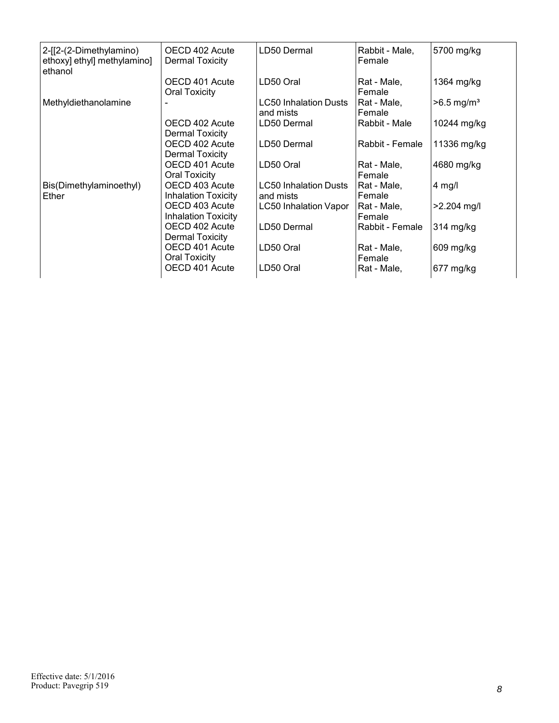| 2-[[2-(2-Dimethylamino)<br>ethoxy] ethyl] methylamino]<br>ethanol | OECD 402 Acute<br><b>Dermal Toxicity</b>     | LD50 Dermal                               | Rabbit - Male,<br>Female | 5700 mg/kg               |
|-------------------------------------------------------------------|----------------------------------------------|-------------------------------------------|--------------------------|--------------------------|
|                                                                   | OECD 401 Acute<br><b>Oral Toxicity</b>       | LD50 Oral                                 | Rat - Male,<br>Female    | 1364 mg/kg               |
| Methyldiethanolamine                                              |                                              | <b>LC50 Inhalation Dusts</b><br>and mists | Rat - Male,<br>Female    | $>6.5$ mg/m <sup>3</sup> |
|                                                                   | OECD 402 Acute<br>Dermal Toxicity            | LD50 Dermal                               | Rabbit - Male            | 10244 mg/kg              |
|                                                                   | OECD 402 Acute<br>Dermal Toxicity            | LD50 Dermal                               | Rabbit - Female          | 11336 mg/kg              |
|                                                                   | OECD 401 Acute<br><b>Oral Toxicity</b>       | LD50 Oral                                 | Rat - Male,<br>Female    | 4680 mg/kg               |
| Bis(Dimethylaminoethyl)<br>Ether                                  | OECD 403 Acute<br><b>Inhalation Toxicity</b> | <b>LC50 Inhalation Dusts</b><br>and mists | Rat - Male,<br>Female    | 4 mg/l                   |
|                                                                   | OECD 403 Acute<br><b>Inhalation Toxicity</b> | <b>LC50 Inhalation Vapor</b>              | Rat - Male,<br>Female    | $>2.204$ mg/l            |
|                                                                   | OECD 402 Acute<br>Dermal Toxicity            | LD50 Dermal                               | Rabbit - Female          | 314 mg/kg                |
|                                                                   | OECD 401 Acute<br><b>Oral Toxicity</b>       | LD50 Oral                                 | Rat - Male,<br>Female    | 609 mg/kg                |
|                                                                   | OECD 401 Acute                               | LD50 Oral                                 | Rat - Male,              | 677 mg/kg                |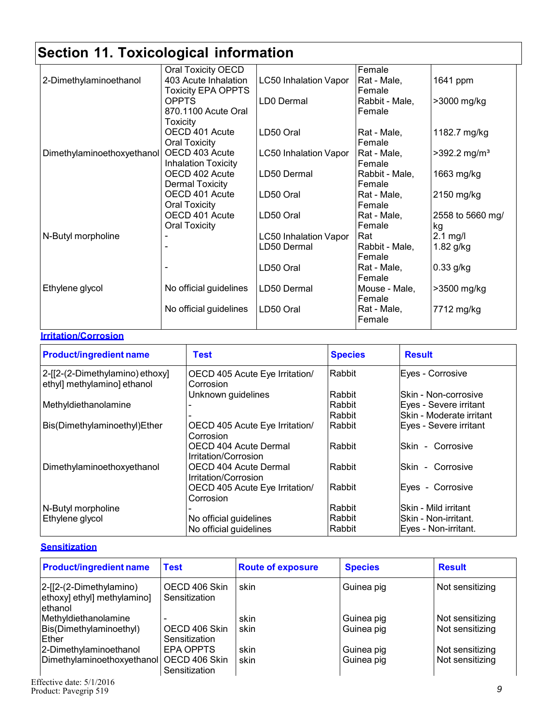|                            | Oral Toxicity OECD         |                              | Female         |                            |
|----------------------------|----------------------------|------------------------------|----------------|----------------------------|
| 2-Dimethylaminoethanol     | 403 Acute Inhalation       | <b>LC50 Inhalation Vapor</b> | Rat - Male,    | 1641 ppm                   |
|                            | <b>Toxicity EPA OPPTS</b>  |                              | Female         |                            |
|                            | <b>OPPTS</b>               | LD0 Dermal                   | Rabbit - Male, | >3000 mg/kg                |
|                            | 870.1100 Acute Oral        |                              | Female         |                            |
|                            | <b>Toxicity</b>            |                              |                |                            |
|                            | OECD 401 Acute             | LD50 Oral                    | Rat - Male,    | 1182.7 mg/kg               |
|                            | <b>Oral Toxicity</b>       |                              | Female         |                            |
| Dimethylaminoethoxyethanol | OECD 403 Acute             | <b>LC50 Inhalation Vapor</b> | Rat - Male,    | $>392.2$ mg/m <sup>3</sup> |
|                            | <b>Inhalation Toxicity</b> |                              | Female         |                            |
|                            | OECD 402 Acute             | LD50 Dermal                  | Rabbit - Male, | 1663 mg/kg                 |
|                            | Dermal Toxicity            |                              | Female         |                            |
|                            | OECD 401 Acute             | LD50 Oral                    | Rat - Male,    | 2150 mg/kg                 |
|                            | <b>Oral Toxicity</b>       |                              | Female         |                            |
|                            | OECD 401 Acute             | LD50 Oral                    | Rat - Male,    | 2558 to 5660 mg/           |
|                            | <b>Oral Toxicity</b>       |                              | Female         | kg                         |
| N-Butyl morpholine         |                            | <b>LC50 Inhalation Vapor</b> | Rat            | $2.1$ mg/l                 |
|                            |                            | LD50 Dermal                  | Rabbit - Male, | 1.82 g/kg                  |
|                            |                            |                              | Female         |                            |
|                            |                            | LD50 Oral                    | Rat - Male,    | 0.33 g/kg                  |
|                            |                            |                              | Female         |                            |
| Ethylene glycol            | No official guidelines     | LD50 Dermal                  | Mouse - Male,  | >3500 mg/kg                |
|                            |                            |                              | Female         |                            |
|                            | No official guidelines     | LD50 Oral                    | Rat - Male,    | 7712 mg/kg                 |
|                            |                            |                              | Female         |                            |

#### **Irritation/Corrosion**

| <b>Product/ingredient name</b>                                 | <b>Test</b>                                   | <b>Species</b> | <b>Result</b>                      |
|----------------------------------------------------------------|-----------------------------------------------|----------------|------------------------------------|
| 2-[[2-(2-Dimethylamino) ethoxy]<br>ethyl] methylamino] ethanol | OECD 405 Acute Eye Irritation/<br>Corrosion   | Rabbit         | Eyes - Corrosive                   |
|                                                                | Unknown guidelines                            | Rabbit         | lSkin - Non-corrosive              |
| Methyldiethanolamine                                           |                                               | Rabbit         | Eyes - Severe irritant             |
|                                                                |                                               | Rabbit         | lSkin - Moderate irritant          |
| Bis(Dimethylaminoethyl)Ether                                   | OECD 405 Acute Eye Irritation/<br>Corrosion   | Rabbit         | Eyes - Severe irritant             |
|                                                                | OECD 404 Acute Dermal<br>Irritation/Corrosion | Rabbit         | Corrosive<br>lSkin<br>$\sim$       |
| Dimethylaminoethoxyethanol                                     | OECD 404 Acute Dermal<br>Irritation/Corrosion | <b>Rabbit</b>  | <b>Skin</b><br>Corrosive<br>$\sim$ |
|                                                                | OECD 405 Acute Eye Irritation/<br>Corrosion   | Rabbit         | Eyes - Corrosive                   |
| N-Butyl morpholine                                             |                                               | Rabbit         | lSkin - Mild irritant              |
| Ethylene glycol                                                | No official guidelines                        | Rabbit         | lSkin - Non-irritant.              |
|                                                                | No official guidelines                        | Rabbit         | Eyes - Non-irritant.               |

#### **Sensitization**

| <b>Product/ingredient name</b>                                       | <b>Test</b>                    | <b>Route of exposure</b> | <b>Species</b>           | <b>Result</b>                      |
|----------------------------------------------------------------------|--------------------------------|--------------------------|--------------------------|------------------------------------|
| $ 2-[2-(2-Dimethylamino)]$<br>ethoxy] ethyl] methylamino]<br>ethanol | OECD 406 Skin<br>Sensitization | skin                     | Guinea pig               | Not sensitizing                    |
| Methyldiethanolamine<br>Bis(Dimethylaminoethyl)<br><b>IEther</b>     | OECD 406 Skin<br>Sensitization | skin<br>skin             | Guinea pig<br>Guinea pig | Not sensitizing<br>Not sensitizing |
| 2-Dimethylaminoethanol<br>Dimethylaminoethoxyethanol OECD 406 Skin   | EPA OPPTS<br>Sensitization     | skin<br>skin             | Guinea pig<br>Guinea pig | Not sensitizing<br>Not sensitizing |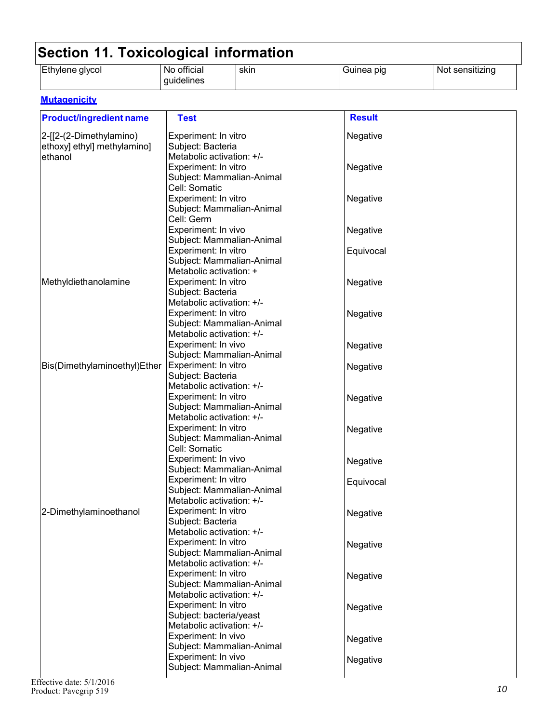| Ethylene glycol<br>--- -<br>official<br>NO.<br>auıdelines | skin | no la<br>Guinea | sensitizing<br>NG. |
|-----------------------------------------------------------|------|-----------------|--------------------|
|-----------------------------------------------------------|------|-----------------|--------------------|

#### **Mutagenicity**

| <b>Product/ingredient name</b> | <b>Test</b>                                       | <b>Result</b> |
|--------------------------------|---------------------------------------------------|---------------|
| 2-[[2-(2-Dimethylamino)        | Experiment: In vitro                              | Negative      |
| ethoxy] ethyl] methylamino]    | Subject: Bacteria                                 |               |
| ethanol                        | Metabolic activation: +/-                         |               |
|                                | Experiment: In vitro                              | Negative      |
|                                | Subject: Mammalian-Animal                         |               |
|                                | Cell: Somatic                                     |               |
|                                | Experiment: In vitro                              | Negative      |
|                                | Subject: Mammalian-Animal                         |               |
|                                | Cell: Germ                                        |               |
|                                | Experiment: In vivo                               | Negative      |
|                                | Subject: Mammalian-Animal                         |               |
|                                | Experiment: In vitro                              | Equivocal     |
|                                | Subject: Mammalian-Animal                         |               |
|                                | Metabolic activation: +                           |               |
| Methyldiethanolamine           | Experiment: In vitro                              | Negative      |
|                                | Subject: Bacteria                                 |               |
|                                | Metabolic activation: +/-                         |               |
|                                | Experiment: In vitro<br>Subject: Mammalian-Animal | Negative      |
|                                | Metabolic activation: +/-                         |               |
|                                | Experiment: In vivo                               |               |
|                                | Subject: Mammalian-Animal                         | Negative      |
| Bis(Dimethylaminoethyl)Ether   | Experiment: In vitro                              | Negative      |
|                                | Subject: Bacteria                                 |               |
|                                | Metabolic activation: +/-                         |               |
|                                | Experiment: In vitro                              | Negative      |
|                                | Subject: Mammalian-Animal                         |               |
|                                | Metabolic activation: +/-                         |               |
|                                | Experiment: In vitro                              | Negative      |
|                                | Subject: Mammalian-Animal                         |               |
|                                | Cell: Somatic                                     |               |
|                                | Experiment: In vivo                               | Negative      |
|                                | Subject: Mammalian-Animal                         |               |
|                                | Experiment: In vitro                              | Equivocal     |
|                                | Subject: Mammalian-Animal                         |               |
|                                | Metabolic activation: +/-                         |               |
| 2-Dimethylaminoethanol         | Experiment: In vitro                              | Negative      |
|                                | Subject: Bacteria<br>Metabolic activation: +/-    |               |
|                                | Experiment: In vitro                              |               |
|                                | Subject: Mammalian-Animal                         | Negative      |
|                                | Metabolic activation: +/-                         |               |
|                                | Experiment: In vitro                              | Negative      |
|                                | Subject: Mammalian-Animal                         |               |
|                                | Metabolic activation: +/-                         |               |
|                                | Experiment: In vitro                              | Negative      |
|                                | Subject: bacteria/yeast                           |               |
|                                | Metabolic activation: +/-                         |               |
|                                | Experiment: In vivo                               | Negative      |
|                                | Subject: Mammalian-Animal                         |               |
|                                | Experiment: In vivo                               | Negative      |
|                                | Subject: Mammalian-Animal                         |               |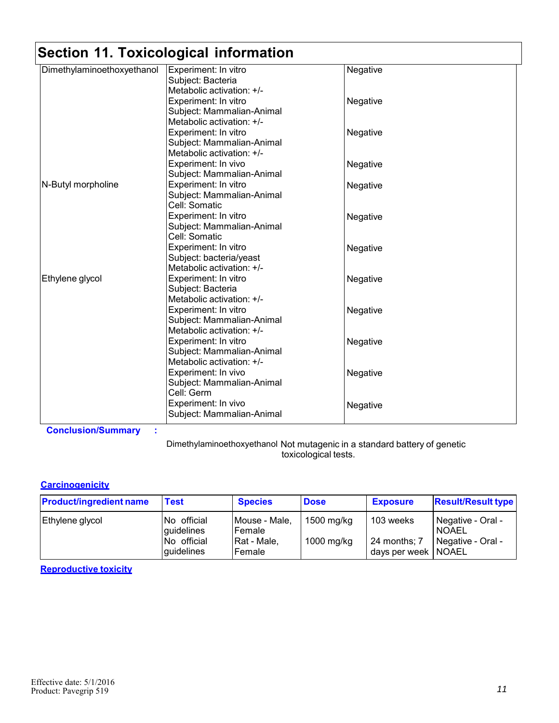| Dimethylaminoethoxyethanol | Experiment: In vitro      | Negative |
|----------------------------|---------------------------|----------|
|                            | Subject: Bacteria         |          |
|                            | Metabolic activation: +/- |          |
|                            |                           |          |
|                            | Experiment: In vitro      | Negative |
|                            | Subject: Mammalian-Animal |          |
|                            | Metabolic activation: +/- |          |
|                            | Experiment: In vitro      | Negative |
|                            | Subject: Mammalian-Animal |          |
|                            | Metabolic activation: +/- |          |
|                            | Experiment: In vivo       | Negative |
|                            | Subject: Mammalian-Animal |          |
| N-Butyl morpholine         | Experiment: In vitro      | Negative |
|                            | Subject: Mammalian-Animal |          |
|                            | Cell: Somatic             |          |
|                            | Experiment: In vitro      | Negative |
|                            | Subject: Mammalian-Animal |          |
|                            | Cell: Somatic             |          |
|                            | Experiment: In vitro      | Negative |
|                            | Subject: bacteria/yeast   |          |
|                            | Metabolic activation: +/- |          |
| Ethylene glycol            | Experiment: In vitro      | Negative |
|                            | Subject: Bacteria         |          |
|                            | Metabolic activation: +/- |          |
|                            | Experiment: In vitro      | Negative |
|                            | Subject: Mammalian-Animal |          |
|                            | Metabolic activation: +/- |          |
|                            | Experiment: In vitro      | Negative |
|                            | Subject: Mammalian-Animal |          |
|                            | Metabolic activation: +/- |          |
|                            | Experiment: In vivo       | Negative |
|                            | Subject: Mammalian-Animal |          |
|                            | Cell: Germ                |          |
|                            | Experiment: In vivo       |          |
|                            | Subject: Mammalian-Animal | Negative |
|                            |                           |          |

**Conclusion/Summary :**

Dimethylaminoethoxyethanol Not mutagenic in a standard battery of genetic toxicological tests.

#### **Carcinogenicity**

| <b>Product/ingredient name</b> | <b>Test</b>                                            | <b>Species</b>                                                   | <b>Dose</b>              | <b>Exposure</b>                                    | <b>Result/Result type</b>                              |
|--------------------------------|--------------------------------------------------------|------------------------------------------------------------------|--------------------------|----------------------------------------------------|--------------------------------------------------------|
| Ethylene glycol                | No official<br>guidelines<br>No official<br>guidelines | Mouse - Male,<br><b>IFemale</b><br>Rat - Male,<br><b>IFemale</b> | 1500 mg/kg<br>1000 mg/kg | 103 weeks<br>24 months; 7<br>days per week   NOAEL | Negative - Oral -<br><b>NOAEL</b><br>Negative - Oral - |

#### **Reproductive toxicity**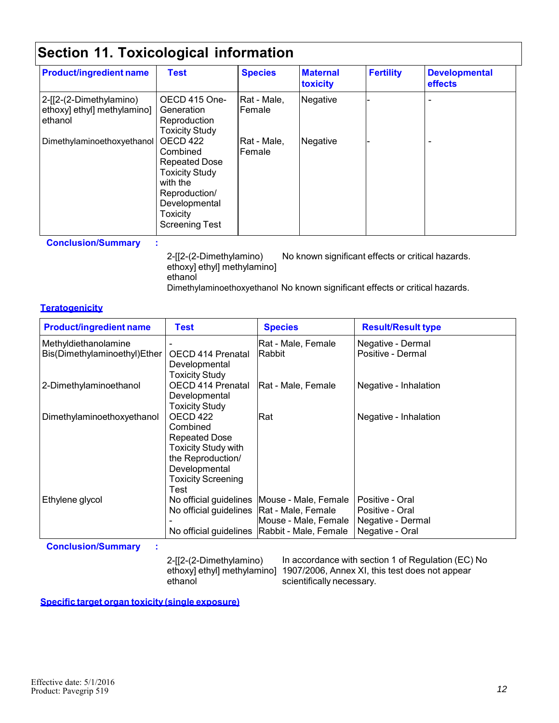| <b>Product/ingredient name</b>                                    | <b>Test</b>                                                                                                                                              | <b>Species</b>        | <b>Maternal</b><br><b>toxicity</b> | <b>Fertility</b> | <b>Developmental</b><br>effects |
|-------------------------------------------------------------------|----------------------------------------------------------------------------------------------------------------------------------------------------------|-----------------------|------------------------------------|------------------|---------------------------------|
| 2-[[2-(2-Dimethylamino)<br>ethoxy] ethyl] methylamino]<br>ethanol | OECD 415 One-<br>Generation<br>Reproduction<br><b>Toxicity Study</b>                                                                                     | Rat - Male,<br>Female | Negative                           |                  |                                 |
| Dimethylaminoethoxyethanol                                        | OECD 422<br>Combined<br><b>Repeated Dose</b><br><b>Toxicity Study</b><br>with the<br>Reproduction/<br>Developmental<br>Toxicity<br><b>Screening Test</b> | Rat - Male,<br>Female | Negative                           |                  |                                 |

**Conclusion/Summary :**

2-[[2-(2-Dimethylamino) ethoxy] ethyl] methylamino] ethanol No known significant effects or critical hazards. Dimethylaminoethoxyethanol No known significant effects or critical hazards.

#### **Teratogenicity**

| <b>Product/ingredient name</b>                       | <b>Test</b>                                                                                                                                           | <b>Species</b>                                                                                                           | <b>Result/Result type</b>                                                  |
|------------------------------------------------------|-------------------------------------------------------------------------------------------------------------------------------------------------------|--------------------------------------------------------------------------------------------------------------------------|----------------------------------------------------------------------------|
| Methyldiethanolamine<br>Bis(Dimethylaminoethyl)Ether | OECD 414 Prenatal<br>Developmental<br>Toxicity Study                                                                                                  | Rat - Male, Female<br><b>Rabbit</b>                                                                                      | Negative - Dermal<br>Positive - Dermal                                     |
| 2-Dimethylaminoethanol                               | OECD 414 Prenatal<br>Developmental<br><b>Toxicity Study</b>                                                                                           | Rat - Male, Female                                                                                                       | Negative - Inhalation                                                      |
| Dimethylaminoethoxyethanol                           | OECD 422<br>Combined<br><b>Repeated Dose</b><br><b>Toxicity Study with</b><br>the Reproduction/<br>Developmental<br><b>Toxicity Screening</b><br>Test | Rat                                                                                                                      | Negative - Inhalation                                                      |
| Ethylene glycol                                      | No official guidelines   Rat - Male, Female                                                                                                           | No official guidelines   Mouse - Male, Female<br> Mouse - Male, Female<br>No official guidelines   Rabbit - Male, Female | Positive - Oral<br>Positive - Oral<br>Negative - Dermal<br>Negative - Oral |

**Conclusion/Summary :**

2-[[2-(2-Dimethylamino) ethoxy] ethyl] methylamino] 1907/2006, Annex XI, this test does not appear ethanol In accordance with section 1 of Regulation (EC) No scientifically necessary.

**Specific target organ toxicity (single exposure)**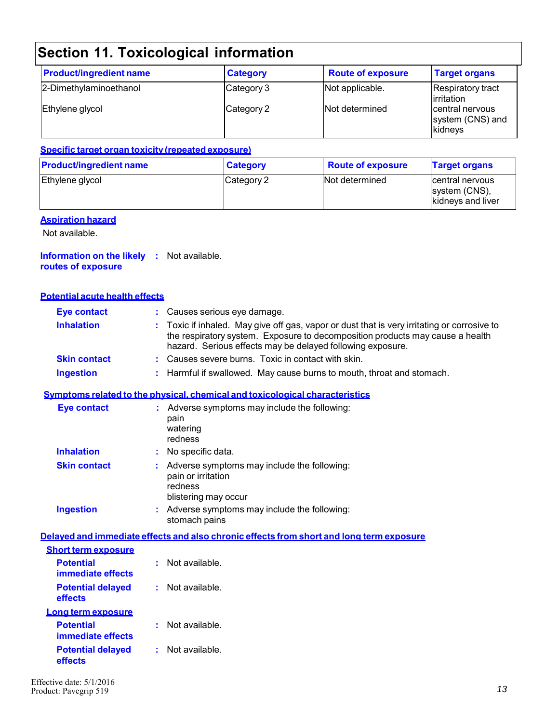| <b>Product/ingredient name</b> | <b>Category</b> | <b>Route of exposure</b> | <b>Target organs</b>                           |
|--------------------------------|-----------------|--------------------------|------------------------------------------------|
| 2-Dimethylaminoethanol         | Category 3      | Not applicable.          | <b>Respiratory tract</b><br>lirritation        |
| Ethylene glycol                | Category 2      | Not determined           | central nervous<br>system (CNS) and<br>kidneys |

#### **Specific target organ toxicity (repeated exposure)**

| <b>Product/ingredient name</b> | <b>Category</b> | <b>Route of exposure</b> | <b>Target organs</b>                                   |
|--------------------------------|-----------------|--------------------------|--------------------------------------------------------|
| Ethylene glycol                | Category 2      | Not determined           | Icentral nervous<br>system (CNS),<br>kidneys and liver |

#### **Aspiration hazard**

Not available.

#### **Information on the likely :** Not available. **routes of exposure**

#### **Potential acute health effects**

| <b>Eye contact</b>  | : Causes serious eye damage.                                                                                                                                                                                                               |
|---------------------|--------------------------------------------------------------------------------------------------------------------------------------------------------------------------------------------------------------------------------------------|
| <b>Inhalation</b>   | : Toxic if inhaled. May give off gas, vapor or dust that is very irritating or corrosive to<br>the respiratory system. Exposure to decomposition products may cause a health<br>hazard. Serious effects may be delayed following exposure. |
| <b>Skin contact</b> | : Causes severe burns. Toxic in contact with skin.                                                                                                                                                                                         |
|                     |                                                                                                                                                                                                                                            |

### **Ingestion :** Harmful if swallowed. May cause burns to mouth, throat and stomach.

#### **Symptoms related to the physical, chemical and toxicological characteristics**

| <b>Eye contact</b>  | Adverse symptoms may include the following:<br>pain<br>watering<br>redness                           |
|---------------------|------------------------------------------------------------------------------------------------------|
| <b>Inhalation</b>   | No specific data.                                                                                    |
| <b>Skin contact</b> | Adverse symptoms may include the following:<br>pain or irritation<br>redness<br>blistering may occur |
| <b>Ingestion</b>    | Adverse symptoms may include the following:<br>stomach pains                                         |

#### **Delayed and immediate effects and also chronic effects from short and long term exposure**

| <b>Short term exposure</b>            |                |
|---------------------------------------|----------------|
| <b>Potential</b><br>immediate effects | Not available  |
| <b>Potential delayed</b><br>effects   | Not available. |
| Long term exposure                    |                |
| <b>Potential</b><br>immediate effects | Not available. |
| <b>Potential delayed</b><br>effects   | Not available. |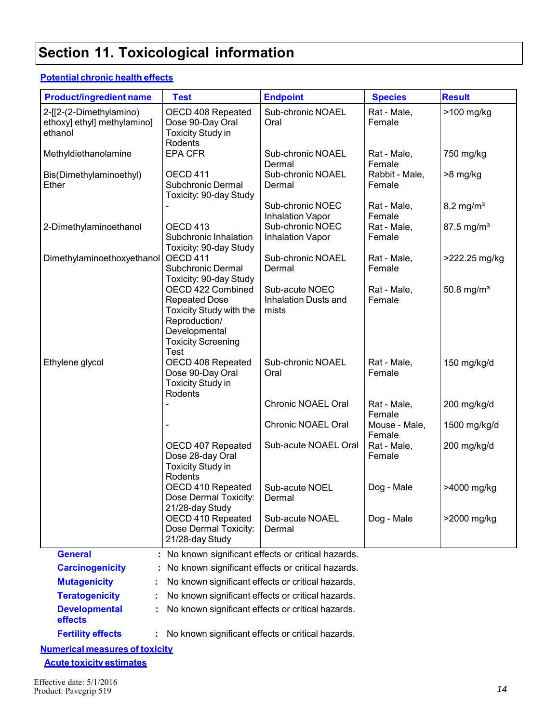#### **Potential chronic health effects**

| <b>Product/ingredient name</b>                                    | <b>Test</b>                                                                                                                                               | <b>Endpoint</b>                                        | <b>Species</b>           | <b>Result</b>            |  |
|-------------------------------------------------------------------|-----------------------------------------------------------------------------------------------------------------------------------------------------------|--------------------------------------------------------|--------------------------|--------------------------|--|
| 2-[[2-(2-Dimethylamino)<br>ethoxy] ethyl] methylamino]<br>ethanol | OECD 408 Repeated<br>Dose 90-Day Oral<br><b>Toxicity Study in</b><br>Rodents                                                                              | Sub-chronic NOAEL<br>Oral                              | Rat - Male,<br>Female    | >100 mg/kg               |  |
| Methyldiethanolamine                                              | <b>EPA CFR</b>                                                                                                                                            | Sub-chronic NOAEL<br>Dermal                            | Rat - Male,<br>Female    | 750 mg/kg                |  |
| Bis(Dimethylaminoethyl)<br>Ether                                  | OECD 411<br>Subchronic Dermal<br>Toxicity: 90-day Study                                                                                                   | Sub-chronic NOAEL<br>Dermal                            | Rabbit - Male,<br>Female | >8 mg/kg                 |  |
|                                                                   |                                                                                                                                                           | Sub-chronic NOEC<br><b>Inhalation Vapor</b>            | Rat - Male,<br>Female    | $8.2$ mg/m <sup>3</sup>  |  |
| 2-Dimethylaminoethanol                                            | OECD 413<br>Subchronic Inhalation<br>Toxicity: 90-day Study                                                                                               | Sub-chronic NOEC<br><b>Inhalation Vapor</b>            | Rat - Male,<br>Female    | $87.5$ mg/m <sup>3</sup> |  |
| Dimethylaminoethoxyethanol                                        | OECD 411<br>Subchronic Dermal<br>Toxicity: 90-day Study                                                                                                   | Sub-chronic NOAEL<br>Dermal                            | Rat - Male,<br>Female    | >222.25 mg/kg            |  |
|                                                                   | OECD 422 Combined<br><b>Repeated Dose</b><br><b>Toxicity Study with the</b><br>Reproduction/<br>Developmental<br><b>Toxicity Screening</b><br><b>Test</b> | Sub-acute NOEC<br><b>Inhalation Dusts and</b><br>mists | Rat - Male,<br>Female    | 50.8 mg/ $m^3$           |  |
| Ethylene glycol                                                   | OECD 408 Repeated<br>Dose 90-Day Oral<br><b>Toxicity Study in</b><br>Rodents                                                                              | Sub-chronic NOAEL<br>Oral                              | Rat - Male,<br>Female    | 150 mg/kg/d              |  |
|                                                                   |                                                                                                                                                           | Chronic NOAEL Oral                                     | Rat - Male,<br>Female    | 200 mg/kg/d              |  |
|                                                                   |                                                                                                                                                           | Chronic NOAEL Oral                                     | Mouse - Male,<br>Female  | 1500 mg/kg/d             |  |
|                                                                   | OECD 407 Repeated<br>Dose 28-day Oral<br><b>Toxicity Study in</b><br>Rodents                                                                              | Sub-acute NOAEL Oral                                   | Rat - Male,<br>Female    | 200 mg/kg/d              |  |
|                                                                   | OECD 410 Repeated<br>Dose Dermal Toxicity:<br>21/28-day Study                                                                                             | Sub-acute NOEL<br>Dermal                               | Dog - Male               | >4000 mg/kg              |  |
|                                                                   | OECD 410 Repeated<br>Dose Dermal Toxicity:<br>21/28-day Study                                                                                             | Sub-acute NOAEL<br>Dermal                              | Dog - Male               | >2000 mg/kg              |  |
| <b>General</b>                                                    |                                                                                                                                                           | No known significant effects or critical hazards.      |                          |                          |  |
| <b>Carcinogenicity</b>                                            |                                                                                                                                                           | No known significant effects or critical hazards.      |                          |                          |  |
| <b>Mutagenicity</b>                                               | No known significant effects or critical hazards.                                                                                                         |                                                        |                          |                          |  |
| <b>Teratogenicity</b>                                             |                                                                                                                                                           | No known significant effects or critical hazards.      |                          |                          |  |
| <b>Developmental</b><br>effects                                   |                                                                                                                                                           | No known significant effects or critical hazards.      |                          |                          |  |
| <b>Fertility effects</b>                                          |                                                                                                                                                           | No known significant effects or critical hazards.      |                          |                          |  |

**Numerical measures of toxicity**

**Acute toxicity estimates**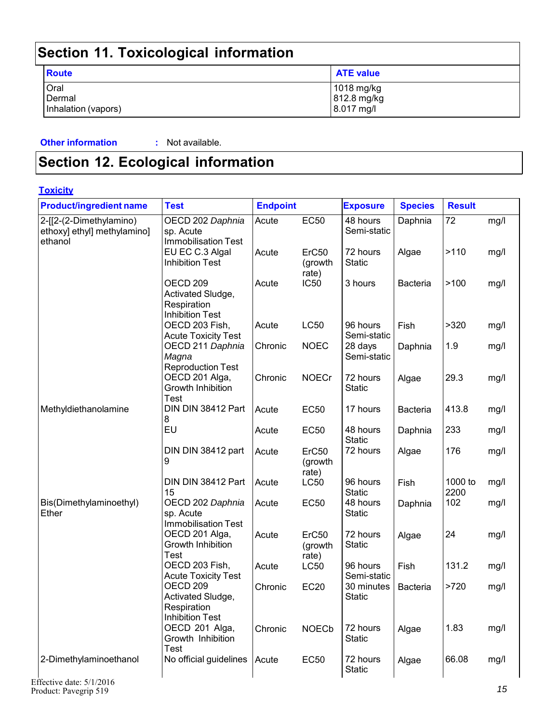| -                                     |                                         |
|---------------------------------------|-----------------------------------------|
| Route                                 | <b>ATE value</b>                        |
| Oral<br>Dermal<br>Inhalation (vapors) | 1018 mg/kg<br>812.8 mg/kg<br>8.017 mg/l |

#### **Other information : Not available.**

**Section 12. Ecological information**

| <b>Toxicity</b>                                                   |                                                                                   |                 |                                       |                             |                 |                 |      |
|-------------------------------------------------------------------|-----------------------------------------------------------------------------------|-----------------|---------------------------------------|-----------------------------|-----------------|-----------------|------|
| <b>Product/ingredient name</b>                                    | <b>Test</b>                                                                       | <b>Endpoint</b> |                                       | <b>Exposure</b>             | <b>Species</b>  | <b>Result</b>   |      |
| 2-[[2-(2-Dimethylamino)<br>ethoxy] ethyl] methylamino]<br>ethanol | OECD 202 Daphnia<br>sp. Acute<br><b>Immobilisation Test</b>                       | Acute           | <b>EC50</b>                           | 48 hours<br>Semi-static     | Daphnia         | 72              | mg/l |
|                                                                   | EU EC C.3 Algal<br><b>Inhibition Test</b>                                         | Acute           | ErC50<br>(growth<br>rate)             | 72 hours<br><b>Static</b>   | Algae           | >110            | mg/l |
|                                                                   | OECD <sub>209</sub><br>Activated Sludge,<br>Respiration<br><b>Inhibition Test</b> | Acute           | <b>IC50</b>                           | 3 hours                     | <b>Bacteria</b> | >100            | mg/l |
|                                                                   | OECD 203 Fish,<br><b>Acute Toxicity Test</b>                                      | Acute           | <b>LC50</b>                           | 96 hours<br>Semi-static     | Fish            | >320            | mg/l |
|                                                                   | OECD 211 Daphnia<br>Magna<br><b>Reproduction Test</b>                             | Chronic         | <b>NOEC</b>                           | 28 days<br>Semi-static      | Daphnia         | 1.9             | mg/l |
|                                                                   | OECD 201 Alga,<br>Growth Inhibition<br>Test                                       | Chronic         | <b>NOECr</b>                          | 72 hours<br><b>Static</b>   | Algae           | 29.3            | mg/l |
| Methyldiethanolamine                                              | DIN DIN 38412 Part<br>8                                                           | Acute           | <b>EC50</b>                           | 17 hours                    | <b>Bacteria</b> | 413.8           | mg/l |
|                                                                   | EU                                                                                | Acute           | <b>EC50</b>                           | 48 hours<br><b>Static</b>   | Daphnia         | 233             | mg/l |
|                                                                   | DIN DIN 38412 part<br>9                                                           | Acute           | ErC50<br>(growth<br>rate)             | 72 hours                    | Algae           | 176             | mg/l |
|                                                                   | DIN DIN 38412 Part<br>15                                                          | Acute           | <b>LC50</b>                           | 96 hours<br><b>Static</b>   | Fish            | 1000 to<br>2200 | mg/l |
| Bis(Dimethylaminoethyl)<br>Ether                                  | OECD 202 Daphnia<br>sp. Acute<br><b>Immobilisation Test</b>                       | Acute           | <b>EC50</b>                           | 48 hours<br><b>Static</b>   | Daphnia         | 102             | mg/l |
|                                                                   | OECD 201 Alga,<br>Growth Inhibition<br>Test                                       | Acute           | ErC <sub>50</sub><br>(growth<br>rate) | 72 hours<br><b>Static</b>   | Algae           | 24              | mg/l |
|                                                                   | OECD 203 Fish,<br><b>Acute Toxicity Test</b>                                      | Acute           | <b>LC50</b>                           | 96 hours<br>Semi-static     | Fish            | 131.2           | mg/l |
|                                                                   | OECD <sub>209</sub><br>Activated Sludge,<br>Respiration<br><b>Inhibition Test</b> | Chronic         | <b>EC20</b>                           | 30 minutes<br><b>Static</b> | <b>Bacteria</b> | >720            | mg/l |
|                                                                   | OECD 201 Alga,<br>Growth Inhibition<br>Test                                       | Chronic         | <b>NOECb</b>                          | 72 hours<br><b>Static</b>   | Algae           | 1.83            | mg/l |
| 2-Dimethylaminoethanol                                            | No official guidelines                                                            | Acute           | <b>EC50</b>                           | 72 hours<br><b>Static</b>   | Algae           | 66.08           | mg/l |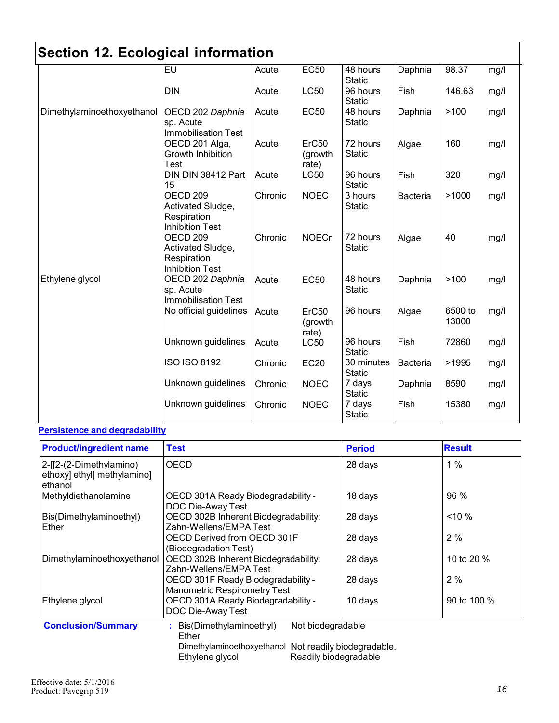| oconon 14. Loorogioar information |                                                                                   |         |                           |                             |                 |                  |      |
|-----------------------------------|-----------------------------------------------------------------------------------|---------|---------------------------|-----------------------------|-----------------|------------------|------|
|                                   | EU                                                                                | Acute   | <b>EC50</b>               | 48 hours<br><b>Static</b>   | Daphnia         | 98.37            | mg/l |
|                                   | <b>DIN</b>                                                                        | Acute   | <b>LC50</b>               | 96 hours<br><b>Static</b>   | Fish            | 146.63           | mg/l |
| Dimethylaminoethoxyethanol        | OECD 202 Daphnia<br>sp. Acute<br><b>Immobilisation Test</b>                       | Acute   | <b>EC50</b>               | 48 hours<br><b>Static</b>   | Daphnia         | >100             | mg/l |
|                                   | OECD 201 Alga,<br>Growth Inhibition<br>Test                                       | Acute   | ErC50<br>(growth<br>rate) | 72 hours<br><b>Static</b>   | Algae           | 160              | mg/l |
|                                   | DIN DIN 38412 Part<br>15                                                          | Acute   | <b>LC50</b>               | 96 hours<br><b>Static</b>   | Fish            | 320              | mg/l |
|                                   | OECD <sub>209</sub><br>Activated Sludge,<br>Respiration<br><b>Inhibition Test</b> | Chronic | <b>NOEC</b>               | 3 hours<br><b>Static</b>    | <b>Bacteria</b> | >1000            | mg/l |
|                                   | OECD <sub>209</sub><br>Activated Sludge,<br>Respiration<br><b>Inhibition Test</b> | Chronic | <b>NOECr</b>              | 72 hours<br><b>Static</b>   | Algae           | 40               | mg/l |
| Ethylene glycol                   | OECD 202 Daphnia<br>sp. Acute<br><b>Immobilisation Test</b>                       | Acute   | <b>EC50</b>               | 48 hours<br><b>Static</b>   | Daphnia         | >100             | mg/l |
|                                   | No official guidelines                                                            | Acute   | ErC50<br>(growth<br>rate) | 96 hours                    | Algae           | 6500 to<br>13000 | mg/l |
|                                   | Unknown guidelines                                                                | Acute   | <b>LC50</b>               | 96 hours<br><b>Static</b>   | Fish            | 72860            | mg/l |
|                                   | <b>ISO ISO 8192</b>                                                               | Chronic | <b>EC20</b>               | 30 minutes<br><b>Static</b> | <b>Bacteria</b> | >1995            | mg/l |
|                                   | Unknown guidelines                                                                | Chronic | <b>NOEC</b>               | 7 days<br><b>Static</b>     | Daphnia         | 8590             | mg/l |
|                                   | Unknown guidelines                                                                | Chronic | <b>NOEC</b>               | 7 days<br><b>Static</b>     | Fish            | 15380            | mg/l |

### **Persistence and degradability**

| <b>Product/ingredient name</b>                                    | <b>Test</b>                                                               | <b>Period</b>         | <b>Result</b> |  |
|-------------------------------------------------------------------|---------------------------------------------------------------------------|-----------------------|---------------|--|
| 2-[[2-(2-Dimethylamino)<br>ethoxy] ethyl] methylamino]<br>ethanol | <b>OECD</b>                                                               | 28 days               | 1%            |  |
| Methyldiethanolamine                                              | OECD 301A Ready Biodegradability -<br>DOC Die-Away Test                   | 18 days               | 96 %          |  |
| Bis(Dimethylaminoethyl)<br>Ether                                  | OECD 302B Inherent Biodegradability:<br>Zahn-Wellens/EMPA Test            | 28 days               | $< 10 \%$     |  |
|                                                                   | OECD Derived from OECD 301F<br>(Biodegradation Test)                      | 28 days               | 2%            |  |
| Dimethylaminoethoxyethanol                                        | OECD 302B Inherent Biodegradability:<br>Zahn-Wellens/EMPA Test            | 28 days               | 10 to 20 %    |  |
|                                                                   | OECD 301F Ready Biodegradability -<br><b>Manometric Respirometry Test</b> | 28 days               | 2%            |  |
| Ethylene glycol                                                   | OECD 301A Ready Biodegradability -<br>DOC Die-Away Test                   | 10 days               | 90 to 100 %   |  |
| <b>Conclusion/Summary</b>                                         | Not biodegradable<br>: Bis(Dimethylaminoethyl)<br>Ether                   |                       |               |  |
|                                                                   | Dimethylaminoethoxyethanol Not readily biodegradable.<br>Ethylene glycol  | Readily biodegradable |               |  |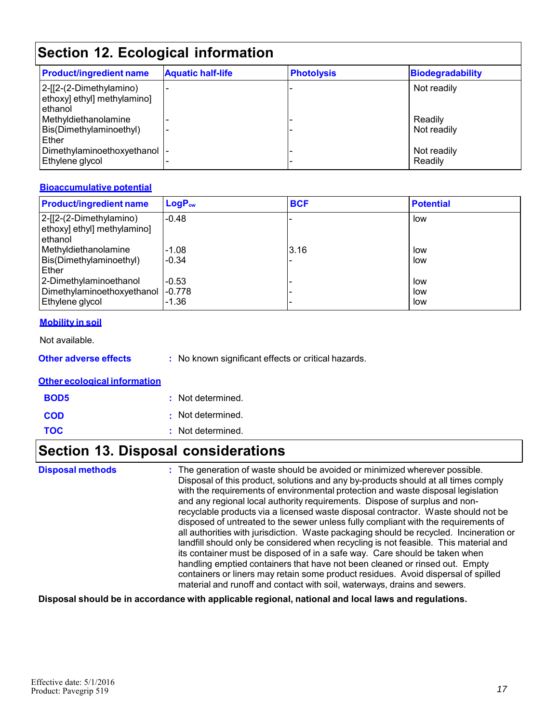| <b>Product/ingredient name</b>                                    | <b>Aquatic half-life</b> | <b>Photolysis</b> | Biodegradability       |  |  |  |  |
|-------------------------------------------------------------------|--------------------------|-------------------|------------------------|--|--|--|--|
| 2-[[2-(2-Dimethylamino)<br>ethoxy] ethyl] methylamino]<br>ethanol |                          |                   | Not readily            |  |  |  |  |
| Methyldiethanolamine<br>Bis(Dimethylaminoethyl)<br>Ether          | -                        |                   | Readily<br>Not readily |  |  |  |  |
| Dimethylaminoethoxyethanol  -<br>Ethylene glycol                  |                          |                   | Not readily<br>Readily |  |  |  |  |

#### **Bioaccumulative potential**

| <b>Product/ingredient name</b>                                                  | LogP <sub>ow</sub> | <b>BCF</b> | <b>Potential</b>  |
|---------------------------------------------------------------------------------|--------------------|------------|-------------------|
| 2-[[2-(2-Dimethylamino)<br>ethoxy] ethyl] methylamino]<br>ethanol               | $-0.48$            |            | low               |
| Methyldiethanolamine<br>Bis(Dimethylaminoethyl)<br>Ether                        | $-1.08$<br>$-0.34$ | 3.16       | low<br>low        |
| 2-Dimethylaminoethanol<br>Dimethylaminoethoxyethanol  -0.778<br>Ethylene glycol | $-0.53$<br>$-1.36$ |            | low<br>low<br>low |

#### **Mobility in soil**

Not available.

**Other adverse effects** : No known significant effects or critical hazards.

#### **Other ecological information**

| <b>BOD5</b> | : Not determined. |
|-------------|-------------------|
| <b>COD</b>  | : Not determined. |
| <b>TOC</b>  | : Not determined. |

## **Section 13. Disposal considerations**

| <b>Disposal methods</b> | : The generation of waste should be avoided or minimized wherever possible.<br>Disposal of this product, solutions and any by-products should at all times comply<br>with the requirements of environmental protection and waste disposal legislation<br>and any regional local authority requirements. Dispose of surplus and non-<br>recyclable products via a licensed waste disposal contractor. Waste should not be<br>disposed of untreated to the sewer unless fully compliant with the requirements of<br>all authorities with jurisdiction. Waste packaging should be recycled. Incineration or<br>landfill should only be considered when recycling is not feasible. This material and<br>its container must be disposed of in a safe way. Care should be taken when<br>handling emptied containers that have not been cleaned or rinsed out. Empty |
|-------------------------|---------------------------------------------------------------------------------------------------------------------------------------------------------------------------------------------------------------------------------------------------------------------------------------------------------------------------------------------------------------------------------------------------------------------------------------------------------------------------------------------------------------------------------------------------------------------------------------------------------------------------------------------------------------------------------------------------------------------------------------------------------------------------------------------------------------------------------------------------------------|
|                         | containers or liners may retain some product residues. Avoid dispersal of spilled<br>material and runoff and contact with soil, waterways, drains and sewers.                                                                                                                                                                                                                                                                                                                                                                                                                                                                                                                                                                                                                                                                                                 |

#### **Disposal should be in accordance with applicable regional, national and local laws and regulations.**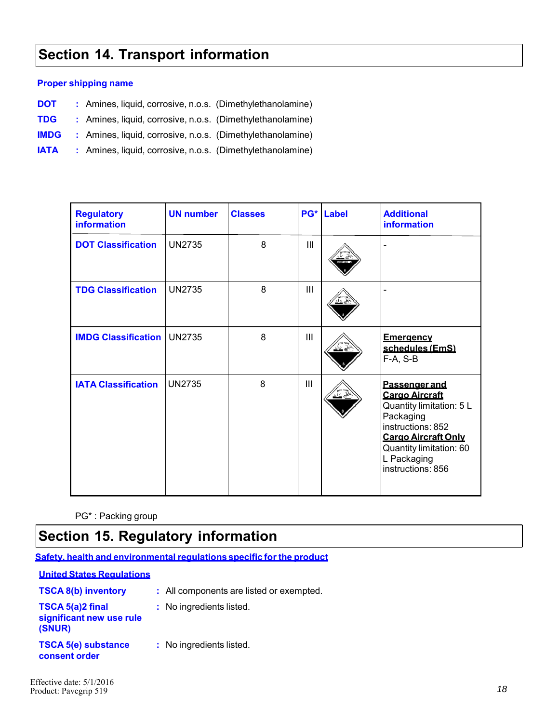## **Section 14. Transport information**

#### **Proper shipping name**

- **DOT** : Amines, liquid, corrosive, n.o.s. (Dimethylethanolamine)
- **TDG :**  Amines, liquid, corrosive, n.o.s. (Dimethylethanolamine)
- **IMDG :** Amines, liquid, corrosive, n.o.s. (Dimethylethanolamine)
- **IATA :** Amines, liquid, corrosive, n.o.s. (Dimethylethanolamine)

| <b>Regulatory</b><br><b>information</b> | <b>UN number</b> | <b>Classes</b> |     | <b>PG*</b> Label | <b>Additional</b><br><b>information</b>                                                                                                                                                           |
|-----------------------------------------|------------------|----------------|-----|------------------|---------------------------------------------------------------------------------------------------------------------------------------------------------------------------------------------------|
| <b>DOT Classification</b>               | <b>UN2735</b>    | 8              | III |                  |                                                                                                                                                                                                   |
| <b>TDG Classification</b>               | <b>UN2735</b>    | 8              | III |                  |                                                                                                                                                                                                   |
| <b>IMDG Classification</b>              | <b>UN2735</b>    | 8              | III |                  | <b>Emergency</b><br>schedules (EmS)<br>$F-A, S-B$                                                                                                                                                 |
| <b>IATA Classification</b>              | <b>UN2735</b>    | 8              | Ш   |                  | Passenger and<br><b>Cargo Aircraft</b><br>Quantity limitation: 5 L<br>Packaging<br>instructions: 852<br><b>Cargo Aircraft Only</b><br>Quantity limitation: 60<br>L Packaging<br>instructions: 856 |

PG\* : Packing group

### **Section 15. Regulatory information**

**Safety, health and environmental regulations specific for the product**

|                                                        | <u>Safety, health and environmental requisitions specific for the produc</u> |
|--------------------------------------------------------|------------------------------------------------------------------------------|
| <b>United States Requlations</b>                       |                                                                              |
| <b>TSCA 8(b) inventory</b>                             | : All components are listed or exempted.                                     |
| TSCA 5(a)2 final<br>significant new use rule<br>(SNUR) | : No ingredients listed.                                                     |
| <b>TSCA 5(e) substance</b><br>consent order            | : No ingredients listed.                                                     |
|                                                        |                                                                              |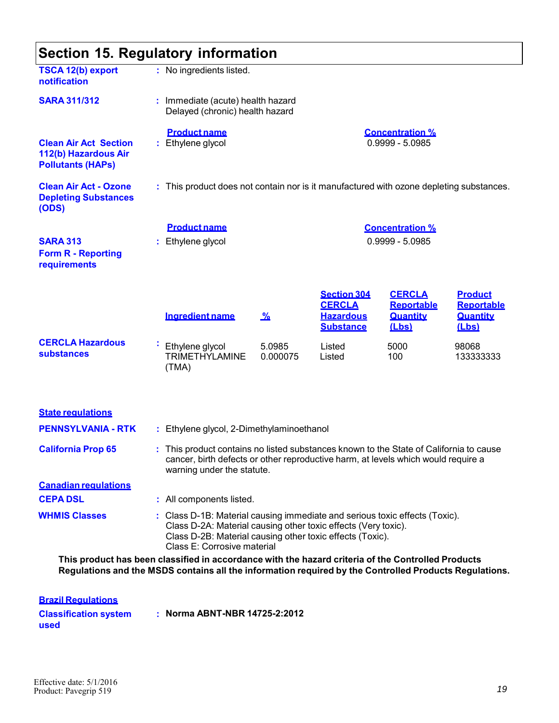| Section 15. Regulatory information                                               |  |                                                                                                                                                                                                                                           |                    |                                                       |                                        |                                                      |  |  |
|----------------------------------------------------------------------------------|--|-------------------------------------------------------------------------------------------------------------------------------------------------------------------------------------------------------------------------------------------|--------------------|-------------------------------------------------------|----------------------------------------|------------------------------------------------------|--|--|
| <b>TSCA 12(b) export</b><br>notification                                         |  | : No ingredients listed.                                                                                                                                                                                                                  |                    |                                                       |                                        |                                                      |  |  |
| <b>SARA 311/312</b>                                                              |  | : Immediate (acute) health hazard<br>Delayed (chronic) health hazard                                                                                                                                                                      |                    |                                                       |                                        |                                                      |  |  |
| <b>Clean Air Act Section</b><br>112(b) Hazardous Air<br><b>Pollutants (HAPs)</b> |  | <b>Product name</b><br>: Ethylene glycol                                                                                                                                                                                                  |                    | <b>Concentration %</b><br>$0.9999 - 5.0985$           |                                        |                                                      |  |  |
| <b>Clean Air Act - Ozone</b><br><b>Depleting Substances</b><br>(ODS)             |  | : This product does not contain nor is it manufactured with ozone depleting substances.                                                                                                                                                   |                    |                                                       |                                        |                                                      |  |  |
|                                                                                  |  | <b>Product name</b>                                                                                                                                                                                                                       |                    |                                                       | <b>Concentration %</b>                 |                                                      |  |  |
| <b>SARA 313</b><br><b>Form R - Reporting</b><br>requirements                     |  | : Ethylene glycol                                                                                                                                                                                                                         |                    |                                                       | $0.9999 - 5.0985$                      |                                                      |  |  |
|                                                                                  |  |                                                                                                                                                                                                                                           |                    | <b>Section 304</b>                                    | <b>CERCLA</b>                          | <b>Product</b>                                       |  |  |
|                                                                                  |  | <b>Ingredient name</b>                                                                                                                                                                                                                    | <u>%</u>           | <b>CERCLA</b><br><b>Hazardous</b><br><b>Substance</b> | <b>Reportable</b><br>Quantity<br>(Lbs) | <b>Reportable</b><br><b>Quantity</b><br><u>(Lbs)</u> |  |  |
| <b>CERCLA Hazardous</b><br><b>substances</b>                                     |  | Ethylene glycol<br><b>TRIMETHYLAMINE</b><br>(TMA)                                                                                                                                                                                         | 5.0985<br>0.000075 | Listed<br>Listed                                      | 5000<br>100                            | 98068<br>133333333                                   |  |  |
| <b>State regulations</b>                                                         |  |                                                                                                                                                                                                                                           |                    |                                                       |                                        |                                                      |  |  |
| <b>PENNSYLVANIA - RTK</b>                                                        |  | : Ethylene glycol, 2-Dimethylaminoethanol                                                                                                                                                                                                 |                    |                                                       |                                        |                                                      |  |  |
| <b>California Prop 65</b>                                                        |  | : This product contains no listed substances known to the State of California to cause<br>cancer, birth defects or other reproductive harm, at levels which would require a<br>warning under the statute.                                 |                    |                                                       |                                        |                                                      |  |  |
| <b>Canadian regulations</b>                                                      |  |                                                                                                                                                                                                                                           |                    |                                                       |                                        |                                                      |  |  |
| <b>CEPA DSL</b>                                                                  |  | : All components listed.                                                                                                                                                                                                                  |                    |                                                       |                                        |                                                      |  |  |
| <b>WHMIS Classes</b>                                                             |  | : Class D-1B: Material causing immediate and serious toxic effects (Toxic).<br>Class D-2A: Material causing other toxic effects (Very toxic).<br>Class D-2B: Material causing other toxic effects (Toxic).<br>Class E: Corrosive material |                    |                                                       |                                        |                                                      |  |  |

**This product has been classified in accordance with the hazard criteria of the Controlled Products Regulations and the MSDS contains all the information required by the Controlled Products Regulations.**

| <b>Brazil Requiations</b>            |                               |
|--------------------------------------|-------------------------------|
| <b>Classification system</b><br>used | : Norma ABNT-NBR 14725-2:2012 |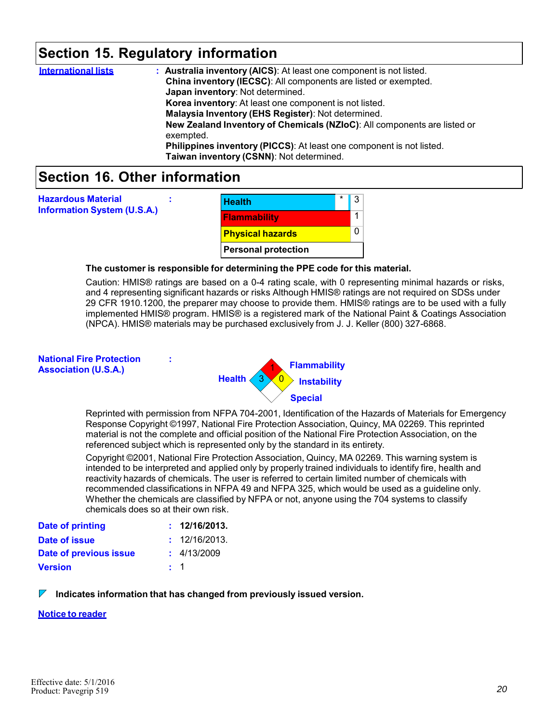### **Section 15. Regulatory information**

| <b>International lists</b> | : Australia inventory (AICS): At least one component is not listed.      |
|----------------------------|--------------------------------------------------------------------------|
|                            |                                                                          |
|                            | China inventory (IECSC): All components are listed or exempted.          |
|                            | Japan inventory: Not determined.                                         |
|                            | Korea inventory: At least one component is not listed.                   |
|                            | Malaysia Inventory (EHS Register): Not determined.                       |
|                            | New Zealand Inventory of Chemicals (NZIoC): All components are listed or |
|                            | exempted.                                                                |
|                            | Philippines inventory (PICCS): At least one component is not listed.     |
|                            | Taiwan inventory (CSNN): Not determined.                                 |
|                            |                                                                          |

### **Section 16. Other information**

| <b>Health</b>              | * |  |
|----------------------------|---|--|
| <b>Flammability</b>        |   |  |
| <b>Physical hazards</b>    |   |  |
| <b>Personal protection</b> |   |  |

#### **The customer is responsible for determining the PPE code for this material.**

Caution: HMIS® ratings are based on a 0-4 rating scale, with 0 representing minimal hazards or risks, and 4 representing significant hazards or risks Although HMIS® ratings are not required on SDSs under 29 CFR 1910.1200, the preparer may choose to provide them. HMIS® ratings are to be used with a fully implemented HMIS® program. HMIS® is a registered mark of the National Paint & Coatings Association (NPCA). HMIS® materials may be purchased exclusively from J. J. Keller (800) 327-6868.

#### **National Fire Protection : Association (U.S.A.)**

**Hazardous Material :** 

**Information System (U.S.A.)**

**Health** 1 **Flammability** 3 0 **Instability Special**

Reprinted with permission from NFPA 704-2001, Identification of the Hazards of Materials for Emergency Response Copyright ©1997, National Fire Protection Association, Quincy, MA 02269. This reprinted material is not the complete and official position of the National Fire Protection Association, on the referenced subject which is represented only by the standard in its entirety.

Copyright ©2001, National Fire Protection Association, Quincy, MA 02269. This warning system is intended to be interpreted and applied only by properly trained individuals to identify fire, health and reactivity hazards of chemicals. The user is referred to certain limited number of chemicals with recommended classifications in NFPA 49 and NFPA 325, which would be used as a guideline only. Whether the chemicals are classified by NFPA or not, anyone using the 704 systems to classify chemicals does so at their own risk.

| Date of printing       | : 12/16/2013. |
|------------------------|---------------|
| Date of issue          | : 12/16/2013. |
| Date of previous issue | : 4/13/2009   |
| <b>Version</b>         | $\pm$ 1       |

#### $\nabla$ **Indicates information that has changed from previously issued version.**

#### **Notice to reader**